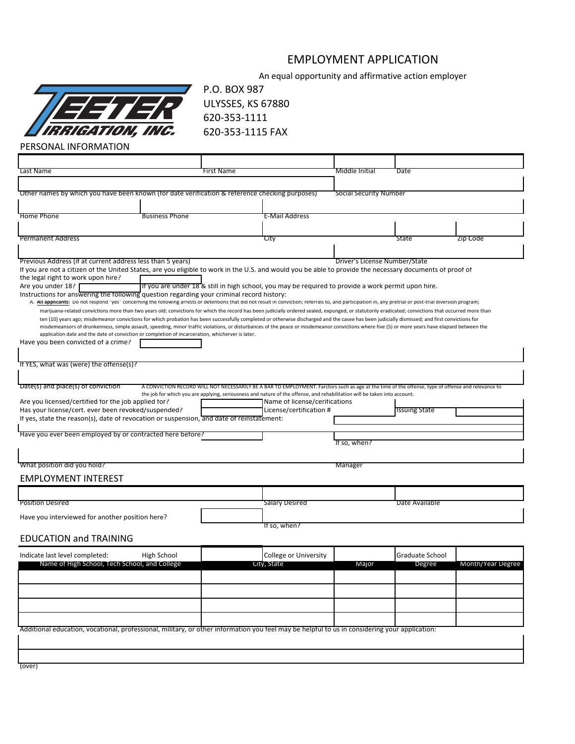# EMPLOYMENT APPLICATION

An equal opportunity and affirmative action employer



P.O. BOX 987 ULYSSES, KS 67880 620-353-1111 620-353-1115 FAX

PERSONAL INFORMATION

| Last Name                                                                                                                                                                                                                                                                                                                                                                                         |                       | First Name |                                                                                                                                                                                                                                                                                 | Middle Initial                | Date                 |                   |  |  |
|---------------------------------------------------------------------------------------------------------------------------------------------------------------------------------------------------------------------------------------------------------------------------------------------------------------------------------------------------------------------------------------------------|-----------------------|------------|---------------------------------------------------------------------------------------------------------------------------------------------------------------------------------------------------------------------------------------------------------------------------------|-------------------------------|----------------------|-------------------|--|--|
|                                                                                                                                                                                                                                                                                                                                                                                                   |                       |            |                                                                                                                                                                                                                                                                                 |                               |                      |                   |  |  |
| Other names by which you have been known (for date verification & reference checking purposes)                                                                                                                                                                                                                                                                                                    |                       |            |                                                                                                                                                                                                                                                                                 | <b>Social Security Number</b> |                      |                   |  |  |
|                                                                                                                                                                                                                                                                                                                                                                                                   |                       |            |                                                                                                                                                                                                                                                                                 |                               |                      |                   |  |  |
| <b>Home Phone</b>                                                                                                                                                                                                                                                                                                                                                                                 | <b>Business Phone</b> |            | E-Mail Address                                                                                                                                                                                                                                                                  |                               |                      |                   |  |  |
| <b>Permanent Address</b>                                                                                                                                                                                                                                                                                                                                                                          |                       |            |                                                                                                                                                                                                                                                                                 |                               | State                |                   |  |  |
|                                                                                                                                                                                                                                                                                                                                                                                                   |                       |            | City                                                                                                                                                                                                                                                                            |                               |                      | Zip Code          |  |  |
| Previous Address (if at current address less than 5 years)                                                                                                                                                                                                                                                                                                                                        |                       |            |                                                                                                                                                                                                                                                                                 | Driver's License Number/State |                      |                   |  |  |
| If you are not a citizen of the United States, are you eligible to work in the U.S. and would you be able to provide the necessary documents of proof of                                                                                                                                                                                                                                          |                       |            |                                                                                                                                                                                                                                                                                 |                               |                      |                   |  |  |
| the legal right to work upon hire?                                                                                                                                                                                                                                                                                                                                                                |                       |            |                                                                                                                                                                                                                                                                                 |                               |                      |                   |  |  |
| Are you under 18?<br>Instructions for answering the following question regarding your criminal record history:                                                                                                                                                                                                                                                                                    |                       |            | If you are under 18 & still in high school, you may be required to provide a work permit upon hire.                                                                                                                                                                             |                               |                      |                   |  |  |
| A. All applicants: Do not respond "yes" concerning the following arrests or detentions that did not result in conviction; referrals to, and participation in, any pretrial or post-trial diversion program;                                                                                                                                                                                       |                       |            |                                                                                                                                                                                                                                                                                 |                               |                      |                   |  |  |
| marijuana-related convictions more than two years old; convictions for which the record has been judicially ordered sealed, expunged, or statutorily eradicated; convictions that occurred more than                                                                                                                                                                                              |                       |            |                                                                                                                                                                                                                                                                                 |                               |                      |                   |  |  |
| ten (10) years ago; misdemeanor convictions for which probation has been successfully completed or otherwise discharged and the casee has been judicially dismissed; and first convictions for<br>misdemeansors of drunkenness, simple assault, speeding, minor traffic violations, or disturbances of the peace or misdemeanor convictions where five (5) or more years have elapsed between the |                       |            |                                                                                                                                                                                                                                                                                 |                               |                      |                   |  |  |
| application date and the date of conviction or completion of incarceration, whicherver is later.                                                                                                                                                                                                                                                                                                  |                       |            |                                                                                                                                                                                                                                                                                 |                               |                      |                   |  |  |
| Have you been convicted of a crime?                                                                                                                                                                                                                                                                                                                                                               |                       |            |                                                                                                                                                                                                                                                                                 |                               |                      |                   |  |  |
|                                                                                                                                                                                                                                                                                                                                                                                                   |                       |            |                                                                                                                                                                                                                                                                                 |                               |                      |                   |  |  |
| If YES, what was (were) the offense(s)?                                                                                                                                                                                                                                                                                                                                                           |                       |            |                                                                                                                                                                                                                                                                                 |                               |                      |                   |  |  |
|                                                                                                                                                                                                                                                                                                                                                                                                   |                       |            |                                                                                                                                                                                                                                                                                 |                               |                      |                   |  |  |
| Date(s) and place(s) of conviction                                                                                                                                                                                                                                                                                                                                                                |                       |            | A CONVICTION RECORD WILL NOT NECESSARILY BE A BAR TO EMPLOYMENT. Farctors such as age at the time of the offense, type of offense and relevance to<br>the job for which you are applying, seriousness and nature of the offense, and rehabilitation will be taken into account. |                               |                      |                   |  |  |
| Are you licensed/certified for the job applied for?                                                                                                                                                                                                                                                                                                                                               |                       |            | Name of license/cerifications                                                                                                                                                                                                                                                   |                               |                      |                   |  |  |
| Has your license/cert. ever been revoked/suspended?                                                                                                                                                                                                                                                                                                                                               |                       |            | License/certification #                                                                                                                                                                                                                                                         |                               | <b>Issuing State</b> |                   |  |  |
| If yes, state the reason(s), date of revocation or suspension, and date of reinstatement:                                                                                                                                                                                                                                                                                                         |                       |            |                                                                                                                                                                                                                                                                                 |                               |                      |                   |  |  |
| Have you ever been employed by or contracted here before?                                                                                                                                                                                                                                                                                                                                         |                       |            |                                                                                                                                                                                                                                                                                 |                               |                      |                   |  |  |
|                                                                                                                                                                                                                                                                                                                                                                                                   |                       |            |                                                                                                                                                                                                                                                                                 | Th so, when?                  |                      |                   |  |  |
|                                                                                                                                                                                                                                                                                                                                                                                                   |                       |            |                                                                                                                                                                                                                                                                                 |                               |                      |                   |  |  |
| "What position did you hold?                                                                                                                                                                                                                                                                                                                                                                      |                       |            |                                                                                                                                                                                                                                                                                 | Manager                       |                      |                   |  |  |
| <b>EMPLOYMENT INTEREST</b>                                                                                                                                                                                                                                                                                                                                                                        |                       |            |                                                                                                                                                                                                                                                                                 |                               |                      |                   |  |  |
|                                                                                                                                                                                                                                                                                                                                                                                                   |                       |            |                                                                                                                                                                                                                                                                                 |                               |                      |                   |  |  |
| <b>Position Desired</b>                                                                                                                                                                                                                                                                                                                                                                           |                       |            | Salary Desired<br>Date Available                                                                                                                                                                                                                                                |                               |                      |                   |  |  |
| Have you interviewed for another position here?                                                                                                                                                                                                                                                                                                                                                   |                       |            |                                                                                                                                                                                                                                                                                 |                               |                      |                   |  |  |
|                                                                                                                                                                                                                                                                                                                                                                                                   |                       |            | If so, when?                                                                                                                                                                                                                                                                    |                               |                      |                   |  |  |
| <b>EDUCATION and TRAINING</b>                                                                                                                                                                                                                                                                                                                                                                     |                       |            |                                                                                                                                                                                                                                                                                 |                               |                      |                   |  |  |
| Indicate last level completed:                                                                                                                                                                                                                                                                                                                                                                    | High School           |            | College or University                                                                                                                                                                                                                                                           |                               | Graduate School      |                   |  |  |
| Name of High School, Tech School, and College                                                                                                                                                                                                                                                                                                                                                     |                       |            | City, State                                                                                                                                                                                                                                                                     | Major                         | Degree               | Month/Year Degree |  |  |
|                                                                                                                                                                                                                                                                                                                                                                                                   |                       |            |                                                                                                                                                                                                                                                                                 |                               |                      |                   |  |  |
|                                                                                                                                                                                                                                                                                                                                                                                                   |                       |            |                                                                                                                                                                                                                                                                                 |                               |                      |                   |  |  |
|                                                                                                                                                                                                                                                                                                                                                                                                   |                       |            |                                                                                                                                                                                                                                                                                 |                               |                      |                   |  |  |
|                                                                                                                                                                                                                                                                                                                                                                                                   |                       |            |                                                                                                                                                                                                                                                                                 |                               |                      |                   |  |  |
|                                                                                                                                                                                                                                                                                                                                                                                                   |                       |            |                                                                                                                                                                                                                                                                                 |                               |                      |                   |  |  |
| Additional education, vocational, professional, military, or other information you feel may be helpful to us in considering your application:                                                                                                                                                                                                                                                     |                       |            |                                                                                                                                                                                                                                                                                 |                               |                      |                   |  |  |
|                                                                                                                                                                                                                                                                                                                                                                                                   |                       |            |                                                                                                                                                                                                                                                                                 |                               |                      |                   |  |  |
|                                                                                                                                                                                                                                                                                                                                                                                                   |                       |            |                                                                                                                                                                                                                                                                                 |                               |                      |                   |  |  |
|                                                                                                                                                                                                                                                                                                                                                                                                   |                       |            |                                                                                                                                                                                                                                                                                 |                               |                      |                   |  |  |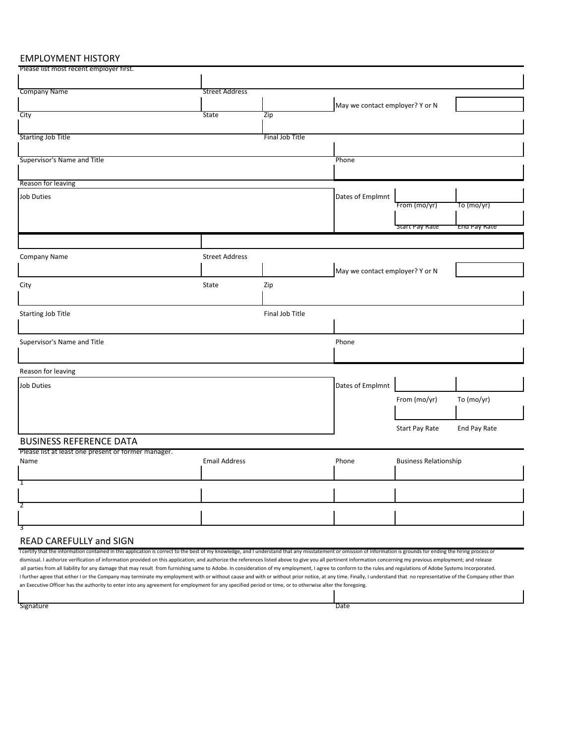### EMPLOYMENT HISTORY

| Please list most recent employer first.                                                                                                                                                                            |                       |                 |                                 |                              |              |
|--------------------------------------------------------------------------------------------------------------------------------------------------------------------------------------------------------------------|-----------------------|-----------------|---------------------------------|------------------------------|--------------|
|                                                                                                                                                                                                                    |                       |                 |                                 |                              |              |
| <b>Company Name</b>                                                                                                                                                                                                | <b>Street Address</b> |                 |                                 |                              |              |
|                                                                                                                                                                                                                    |                       |                 | May we contact employer? Y or N |                              |              |
| City                                                                                                                                                                                                               | <b>State</b>          | Zip             |                                 |                              |              |
|                                                                                                                                                                                                                    |                       |                 |                                 |                              |              |
| <b>Starting Job Title</b>                                                                                                                                                                                          |                       | Final Job Title |                                 |                              |              |
|                                                                                                                                                                                                                    |                       |                 |                                 |                              |              |
|                                                                                                                                                                                                                    |                       |                 |                                 |                              |              |
| Supervisor's Name and Title                                                                                                                                                                                        |                       |                 | Phone                           |                              |              |
|                                                                                                                                                                                                                    |                       |                 |                                 |                              |              |
| Reason for leaving                                                                                                                                                                                                 |                       |                 |                                 |                              |              |
| Job Duties                                                                                                                                                                                                         |                       |                 | Dates of Emplmnt                |                              |              |
|                                                                                                                                                                                                                    |                       |                 |                                 | From (mo/yr)                 | To (mo/yr)   |
|                                                                                                                                                                                                                    |                       |                 |                                 |                              |              |
|                                                                                                                                                                                                                    |                       |                 |                                 | 'start Pay Rate              | End Pay Rate |
|                                                                                                                                                                                                                    |                       |                 |                                 |                              |              |
| Company Name                                                                                                                                                                                                       | <b>Street Address</b> |                 |                                 |                              |              |
|                                                                                                                                                                                                                    |                       |                 |                                 |                              |              |
|                                                                                                                                                                                                                    |                       |                 | May we contact employer? Y or N |                              |              |
| City                                                                                                                                                                                                               | State                 | Zip             |                                 |                              |              |
|                                                                                                                                                                                                                    |                       |                 |                                 |                              |              |
|                                                                                                                                                                                                                    |                       |                 |                                 |                              |              |
| Starting Job Title                                                                                                                                                                                                 |                       | Final Job Title |                                 |                              |              |
|                                                                                                                                                                                                                    |                       |                 |                                 |                              |              |
| Supervisor's Name and Title                                                                                                                                                                                        |                       |                 | Phone                           |                              |              |
|                                                                                                                                                                                                                    |                       |                 |                                 |                              |              |
|                                                                                                                                                                                                                    |                       |                 |                                 |                              |              |
| Reason for leaving                                                                                                                                                                                                 |                       |                 |                                 |                              |              |
| <b>Job Duties</b>                                                                                                                                                                                                  |                       |                 | Dates of Emplmnt                |                              |              |
|                                                                                                                                                                                                                    |                       |                 |                                 |                              |              |
|                                                                                                                                                                                                                    |                       |                 |                                 | From (mo/yr)                 | To (mo/yr)   |
|                                                                                                                                                                                                                    |                       |                 |                                 |                              |              |
|                                                                                                                                                                                                                    |                       |                 |                                 | Start Pay Rate               | End Pay Rate |
|                                                                                                                                                                                                                    |                       |                 |                                 |                              |              |
| <b>BUSINESS REFERENCE DATA</b>                                                                                                                                                                                     |                       |                 |                                 |                              |              |
| Please list at least one present or former manager.<br>Name                                                                                                                                                        |                       |                 | Phone                           | <b>Business Relationship</b> |              |
|                                                                                                                                                                                                                    | <b>Email Address</b>  |                 |                                 |                              |              |
|                                                                                                                                                                                                                    |                       |                 |                                 |                              |              |
| T                                                                                                                                                                                                                  |                       |                 |                                 |                              |              |
|                                                                                                                                                                                                                    |                       |                 |                                 |                              |              |
| 2                                                                                                                                                                                                                  |                       |                 |                                 |                              |              |
|                                                                                                                                                                                                                    |                       |                 |                                 |                              |              |
| 3                                                                                                                                                                                                                  |                       |                 |                                 |                              |              |
| <b>READ CAREFULLY and SIGN</b>                                                                                                                                                                                     |                       |                 |                                 |                              |              |
| I certify that the information contained in this application is correct to the best of my knowledge, and I understand that any misstatement or omission of information is grounds for ending the hiring process or |                       |                 |                                 |                              |              |
| dismissal. I authorize verification of information provided on this application; and authorize the references listed above to give you all pertinent information concerning my previous employment; and release    |                       |                 |                                 |                              |              |

all parties from all liability for any damage that may result from furnishing same to Adobe. In consideration of my employment, I agree to conform to the rules and regulations of Adobe Systems Incorporated. I further agree that either I or the Company may terminate my employment with or without cause and with or without prior notice, at any time. Finally, I understand that no representative of the Company other than an Executive Officer has the authority to enter into any agreement for employment for any specified period or time, or to otherwise alter the foregoing.

signature **Date of the Contract of the Contract of the Contract of the Contract of the Contract of the Contract of the Contract of the Contract of the Contract of the Contract of the Contract of the Contract of the Contrac**